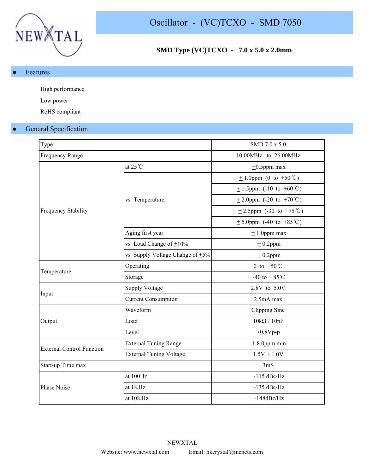

## **SMD Type (VC)TCXO - 7.0 x 5.0 x 2.0mm**

● Features

High performance

Low power

RoHS compliant

## **General Specification**

| Type                             |                                      | SMD 7.0 x 5.0                                   |  |  |  |
|----------------------------------|--------------------------------------|-------------------------------------------------|--|--|--|
| <b>Frequency Range</b>           |                                      | 10.00MHz to 26.00MHz                            |  |  |  |
|                                  | at $25^{\circ}$ C                    | $\pm 0.5$ ppm max                               |  |  |  |
|                                  |                                      | $\pm$ 1.0ppm (0 to +50 °C)                      |  |  |  |
|                                  |                                      | $\pm$ 1.5ppm (-10 to +60°C)                     |  |  |  |
|                                  | vs Temperature                       | $\pm$ 2.0ppm (-20 to +70 °C)                    |  |  |  |
| <b>Frequency Stability</b>       |                                      | +2.5ppm $(-30 \text{ to } +75 \degree\text{C})$ |  |  |  |
|                                  |                                      | $\pm$ 5.0ppm (-40 to +85 °C)                    |  |  |  |
|                                  | Aging first year                     | $± 1.0$ ppm max                                 |  |  |  |
|                                  | vs Load Change of $\pm 10\%$         | $±$ 0.2ppm                                      |  |  |  |
|                                  | vs Supply Voltage Change of $\pm$ 5% | $±$ 0.2ppm                                      |  |  |  |
|                                  | Operating                            | 0 to $+50^{\circ}$ C                            |  |  |  |
| Temperature                      | Storage                              | -40 to + 85 °C                                  |  |  |  |
|                                  | <b>Supply Voltage</b>                | 2.8V to 5.0V                                    |  |  |  |
| Input                            | <b>Current Consumption</b>           | 2.5mA max                                       |  |  |  |
|                                  | Waveform                             | Clipping Sine                                   |  |  |  |
| Output                           | Load                                 | $10k\Omega / 10pF$                              |  |  |  |
|                                  | Level                                | $>0.8Vp-p$                                      |  |  |  |
|                                  | <b>External Tuning Range</b>         | $\pm$ 8.0ppm min                                |  |  |  |
| <b>External Control Function</b> | <b>External Tuning Voltage</b>       | $1.5V + 1.0V$                                   |  |  |  |
| Start-up Time max                |                                      | 3 <sub>m</sub> S                                |  |  |  |
|                                  | at 100Hz                             | $-115$ dBc/Hz                                   |  |  |  |
| Phase Noise                      | at 1KHz                              | $-135$ dBc/Hz                                   |  |  |  |
|                                  | at 10KHz                             | $-148dBz/Hz$                                    |  |  |  |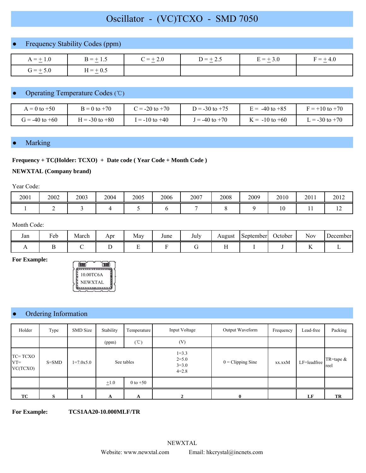# Oscillator - (VC)TCXO - SMD 7050

## Frequency Stability Codes (ppm)

| $A = \pm 1.0$ | $B = \pm 1.5$ | $C = \pm 2.0$ | $D = \pm 2.5$ | $E = \pm 3.0$ | $F = \pm 4.0$ |
|---------------|---------------|---------------|---------------|---------------|---------------|
| $G = \pm 5.0$ | $H = \pm 0.5$ |               |               |               |               |

## Operating Temperature Codes (℃)

| $A = 0$ to $+50$   | $B = 0$ to $+70$ | $2 = -20$ to $+70$ | $D = -30$ to $+75$ | $\mu = -40$ to $+85$ | $F = +10$ to $+70$ |
|--------------------|------------------|--------------------|--------------------|----------------------|--------------------|
| $G = -40$ to $+60$ | $= -30$ to $+80$ | $= -10$ to $+40$   | $= -40$ to $+70$   | $\zeta = -10$ to +60 | $= -30$ to $+70$   |

### **Marking**

#### **Frequency + TC(Holder: TCXO) + Date code ( Year Code + Month Code )**

#### **NEWXTAL (Company brand)**

Year Code:

| 2001 | 2002 | 2003 | 2004 | 2005 | 2006 | 2007 | 2008 | 2009 | 2010 | 2011 | 2012       |
|------|------|------|------|------|------|------|------|------|------|------|------------|
|      |      |      |      |      |      |      |      |      | 10   | . .  | <b>I</b> 4 |

#### Month Code:

| Jan | $\blacksquare$<br>reb | March | Apr | May | June | July | August | September | October | <b>Nov</b> | December |
|-----|-----------------------|-------|-----|-----|------|------|--------|-----------|---------|------------|----------|
|     |                       |       |     |     |      |      |        |           |         |            |          |

**For Example:**



## Ordering Information

| Holder                        | Type      | <b>SMD</b> Size | Stability                 | Temperature            | Input Voltage                                    | Output Waveform            | Frequency | Lead-free   | Packing             |
|-------------------------------|-----------|-----------------|---------------------------|------------------------|--------------------------------------------------|----------------------------|-----------|-------------|---------------------|
|                               |           |                 | (ppm)                     | $(^{\circ}\mathbb{C})$ | (V)                                              |                            |           |             |                     |
| TC=TCXO<br>$VT =$<br>VC(TCXO) | $S = SMD$ | $1=7.0x5.0$     | See tables                |                        | $1 = 3.3$<br>$2 = 5.0$<br>$3 = 3.0$<br>$4 = 2.8$ | $0 = \text{Clipping Sine}$ | xx.xxM    | LF=leadfree | TR=tape $&$<br>reel |
|                               |           |                 | $\pm 1.0$<br>$0$ to $+50$ |                        |                                                  |                            |           |             |                     |
| TC                            | S         |                 | A                         | A                      | 2                                                | $\mathbf{0}$               |           | LF          | TR                  |

**For Example: TCS1AA20-10.000MLF/TR**